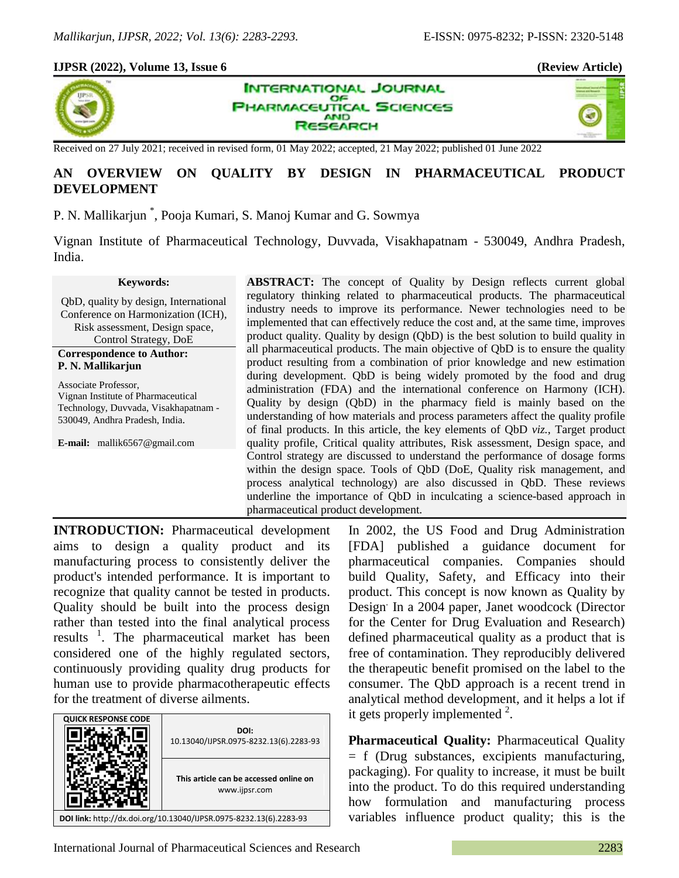## **IJPSR (2022), Volume 13, Issue 6 (Review Article)**







Received on 27 July 2021; received in revised form, 01 May 2022; accepted, 21 May 2022; published 01 June 2022

# **AN OVERVIEW ON QUALITY BY DESIGN IN PHARMACEUTICAL PRODUCT DEVELOPMENT**

P. N. Mallikarjun \* , Pooja Kumari, S. Manoj Kumar and G. Sowmya

Vignan Institute of Pharmaceutical Technology, Duvvada, Visakhapatnam - 530049, Andhra Pradesh, India.

#### **Keywords:**

QbD, quality by design, International Conference on Harmonization (ICH), Risk assessment, Design space, Control Strategy, DoE

### **Correspondence to Author: P. N. Mallikarjun**

Associate Professor, Vignan Institute of Pharmaceutical Technology, Duvvada, Visakhapatnam - 530049, Andhra Pradesh, India.

**E-mail:** mallik6567@gmail.com

**ABSTRACT:** The concept of Quality by Design reflects current global regulatory thinking related to pharmaceutical products. The pharmaceutical industry needs to improve its performance. Newer technologies need to be implemented that can effectively reduce the cost and, at the same time, improves product quality. Quality by design (QbD) is the best solution to build quality in all pharmaceutical products. The main objective of QbD is to ensure the quality product resulting from a combination of prior knowledge and new estimation during development. QbD is being widely promoted by the food and drug administration (FDA) and the international conference on Harmony (ICH). Quality by design (QbD) in the pharmacy field is mainly based on the understanding of how materials and process parameters affect the quality profile of final products. In this article, the key elements of QbD *viz.,* Target product quality profile, Critical quality attributes, Risk assessment, Design space, and Control strategy are discussed to understand the performance of dosage forms within the design space. Tools of QbD (DoE, Quality risk management, and process analytical technology) are also discussed in QbD. These reviews underline the importance of QbD in inculcating a science-based approach in pharmaceutical product development.

**INTRODUCTION:** Pharmaceutical development aims to design a quality product and its manufacturing process to consistently deliver the product's intended performance. It is important to recognize that quality cannot be tested in products. Quality should be built into the process design rather than tested into the final analytical process results<sup>1</sup>. The pharmaceutical market has been considered one of the highly regulated sectors, continuously providing quality drug products for human use to provide pharmacotherapeutic effects for the treatment of diverse ailments.

| <b>QUICK RESPONSE CODE</b>                                         |                                                         |  |  |
|--------------------------------------------------------------------|---------------------------------------------------------|--|--|
|                                                                    | DOI:<br>10.13040/IJPSR.0975-8232.13(6).2283-93          |  |  |
|                                                                    | This article can be accessed online on<br>www.ijpsr.com |  |  |
| DOI link: http://dx.doi.org/10.13040/IJPSR.0975-8232.13(6).2283-93 |                                                         |  |  |

In 2002, the US Food and Drug Administration [FDA] published a guidance document for pharmaceutical companies. Companies should build Quality, Safety, and Efficacy into their product. This concept is now known as Quality by Design. In a 2004 paper, Janet woodcock (Director for the Center for Drug Evaluation and Research) defined pharmaceutical quality as a product that is free of contamination. They reproducibly delivered the therapeutic benefit promised on the label to the consumer. The QbD approach is a recent trend in analytical method development, and it helps a lot if it gets properly implemented  $2$ .

**Pharmaceutical Quality:** Pharmaceutical Quality = f (Drug substances, excipients manufacturing, packaging). For quality to increase, it must be built into the product. To do this required understanding how formulation and manufacturing process variables influence product quality; this is the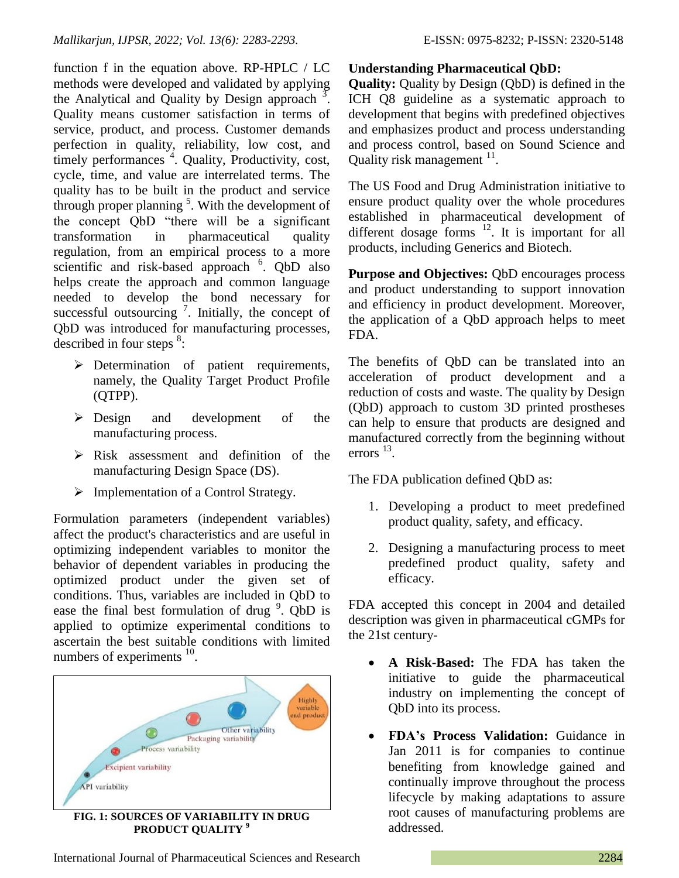function f in the equation above. RP-HPLC / LC methods were developed and validated by applying the Analytical and Quality by Design approach  $\overline{3}$ . Quality means customer satisfaction in terms of service, product, and process. Customer demands perfection in quality, reliability, low cost, and timely performances<sup>4</sup>. Quality, Productivity, cost, cycle, time, and value are interrelated terms. The quality has to be built in the product and service through proper planning  $<sup>5</sup>$ . With the development of</sup> the concept QbD "there will be a significant transformation in pharmaceutical quality regulation, from an empirical process to a more scientific and risk-based approach <sup>6</sup>. QbD also helps create the approach and common language needed to develop the bond necessary for successful outsourcing  $\frac{7}{1}$ . Initially, the concept of QbD was introduced for manufacturing processes, described in four steps  $8$ :

- $\triangleright$  Determination of patient requirements, namely, the Quality Target Product Profile (QTPP).
- Design and development of the manufacturing process.
- $\triangleright$  Risk assessment and definition of the manufacturing Design Space (DS).
- $\triangleright$  Implementation of a Control Strategy.

Formulation parameters (independent variables) affect the product's characteristics and are useful in optimizing independent variables to monitor the behavior of dependent variables in producing the optimized product under the given set of conditions. Thus, variables are included in QbD to ease the final best formulation of drug  $9$ . QbD is applied to optimize experimental conditions to ascertain the best suitable conditions with limited numbers of experiments  $10$ .



**PRODUCT QUALITY <sup>9</sup>**

# **Understanding Pharmaceutical QbD:**

**Quality:** Quality by Design (QbD) is defined in the ICH Q8 guideline as a systematic approach to development that begins with predefined objectives and emphasizes product and process understanding and process control, based on Sound Science and Quality risk management  $11$ .

The US Food and Drug Administration initiative to ensure product quality over the whole procedures established in pharmaceutical development of different dosage forms  $12$ . It is important for all products, including Generics and Biotech.

**Purpose and Objectives:** QbD encourages process and product understanding to support innovation and efficiency in product development. Moreover, the application of a QbD approach helps to meet FDA.

The benefits of QbD can be translated into an acceleration of product development and a reduction of costs and waste. The quality by Design (QbD) approach to custom 3D printed prostheses can help to ensure that products are designed and manufactured correctly from the beginning without errors  $^{13}$ .

The FDA publication defined QbD as:

- 1. Developing a product to meet predefined product quality, safety, and efficacy.
- 2. Designing a manufacturing process to meet predefined product quality, safety and efficacy.

FDA accepted this concept in 2004 and detailed description was given in pharmaceutical cGMPs for the 21st century-

- **A Risk-Based:** The FDA has taken the initiative to guide the pharmaceutical industry on implementing the concept of QbD into its process.
- **FDA's Process Validation:** Guidance in Jan 2011 is for companies to continue benefiting from knowledge gained and continually improve throughout the process lifecycle by making adaptations to assure root causes of manufacturing problems are addressed.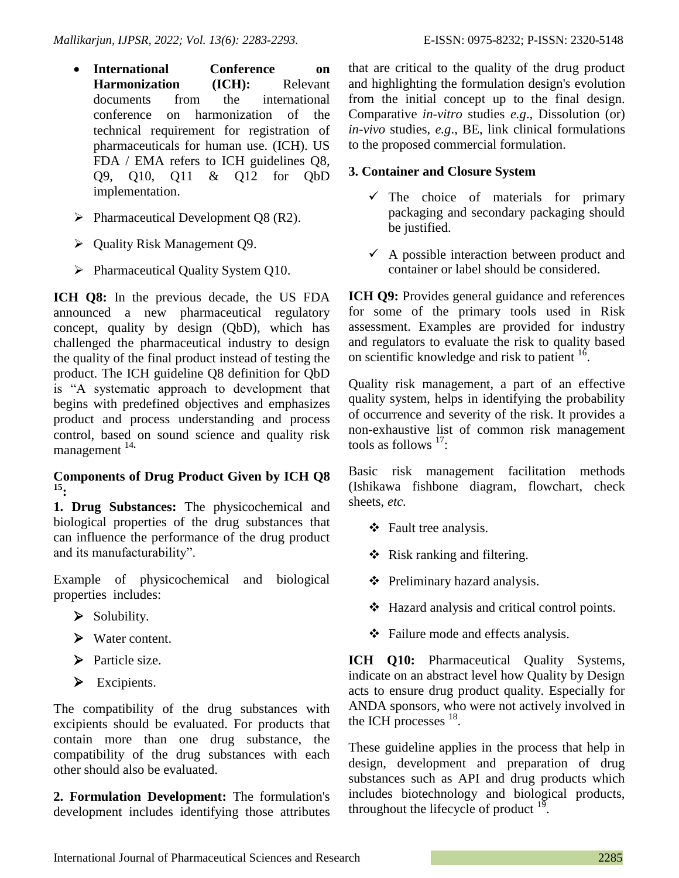- **International Conference on Harmonization (ICH):** Relevant documents from the international conference on harmonization of the technical requirement for registration of pharmaceuticals for human use. (ICH). US FDA / EMA refers to ICH guidelines Q8, Q9, Q10, Q11 & Q12 for QbD implementation.
- $\triangleright$  Pharmaceutical Development Q8 (R2).
- $\triangleright$  Quality Risk Management Q9.
- $\triangleright$  Pharmaceutical Quality System Q10.

**ICH Q8:** In the previous decade, the US FDA announced a new pharmaceutical regulatory concept, quality by design (QbD), which has challenged the pharmaceutical industry to design the quality of the final product instead of testing the product. The ICH guideline Q8 definition for QbD is "A systematic approach to development that begins with predefined objectives and emphasizes product and process understanding and process control, based on sound science and quality risk management <sup>14</sup>**.**

# **Components of Drug Product Given by ICH Q8 15:**

**1. Drug Substances:** The physicochemical and biological properties of the drug substances that can influence the performance of the drug product and its manufacturability".

Example of physicochemical and biological properties includes:

- $\triangleright$  Solubility.
- Water content.
- $\triangleright$  Particle size.
- Excipients.

The compatibility of the drug substances with excipients should be evaluated. For products that contain more than one drug substance, the compatibility of the drug substances with each other should also be evaluated.

**2. Formulation Development:** The formulation's development includes identifying those attributes that are critical to the quality of the drug product and highlighting the formulation design's evolution from the initial concept up to the final design. Comparative *in-vitro* studies *e.g*., Dissolution (or) *in-vivo* studies, *e.g*., BE, link clinical formulations to the proposed commercial formulation.

# **3. Container and Closure System**

- $\checkmark$  The choice of materials for primary packaging and secondary packaging should be justified.
- $\overrightarrow{A}$  possible interaction between product and container or label should be considered.

**ICH O9:** Provides general guidance and references for some of the primary tools used in Risk assessment. Examples are provided for industry and regulators to evaluate the risk to quality based on scientific knowledge and risk to patient  $16$ .

Quality risk management, a part of an effective quality system, helps in identifying the probability of occurrence and severity of the risk. It provides a non-exhaustive list of common risk management tools as follows  $17$ :

Basic risk management facilitation methods (Ishikawa fishbone diagram, flowchart, check sheets, *etc.*

- $\div$  Fault tree analysis.
- $\triangleleft$  Risk ranking and filtering.
- ❖ Preliminary hazard analysis.
- Hazard analysis and critical control points.
- Failure mode and effects analysis.

**ICH O10:** Pharmaceutical Ouality Systems, indicate on an abstract level how Quality by Design acts to ensure drug product quality. Especially for ANDA sponsors, who were not actively involved in the ICH processes  $^{18}$ .

These guideline applies in the process that help in design, development and preparation of drug substances such as API and drug products which includes biotechnology and biological products, throughout the lifecycle of product  $19$ .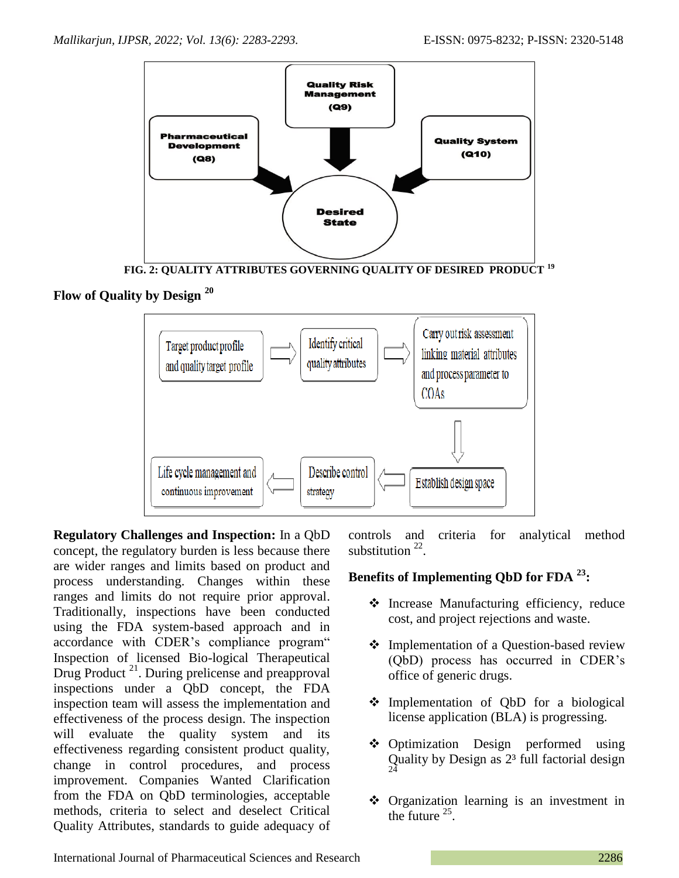

**FIG. 2: QUALITY ATTRIBUTES GOVERNING QUALITY OF DESIRED PRODUCT <sup>19</sup>**

# **Flow of Quality by Design <sup>20</sup>**



**Regulatory Challenges and Inspection:** In a QbD concept, the regulatory burden is less because there are wider ranges and limits based on product and process understanding. Changes within these ranges and limits do not require prior approval. Traditionally, inspections have been conducted using the FDA system-based approach and in accordance with CDER's compliance program" Inspection of licensed Bio-logical Therapeutical Drug Product<sup>21</sup>. During prelicense and preapproval inspections under a QbD concept, the FDA inspection team will assess the implementation and effectiveness of the process design. The inspection will evaluate the quality system and its effectiveness regarding consistent product quality, change in control procedures, and process improvement. Companies Wanted Clarification from the FDA on QbD terminologies, acceptable methods, criteria to select and deselect Critical Quality Attributes, standards to guide adequacy of controls and criteria for analytical method substitution  $22$ .

# **Benefits of Implementing QbD for FDA <sup>23</sup>:**

- Increase Manufacturing efficiency, reduce cost, and project rejections and waste.
- ❖ Implementation of a Question-based review (QbD) process has occurred in CDER's office of generic drugs.
- Implementation of QbD for a biological license application (BLA) is progressing.
- ❖ Optimization Design performed using Quality by Design as  $2<sup>3</sup>$  full factorial design 24
- Organization learning is an investment in the future  $25$ .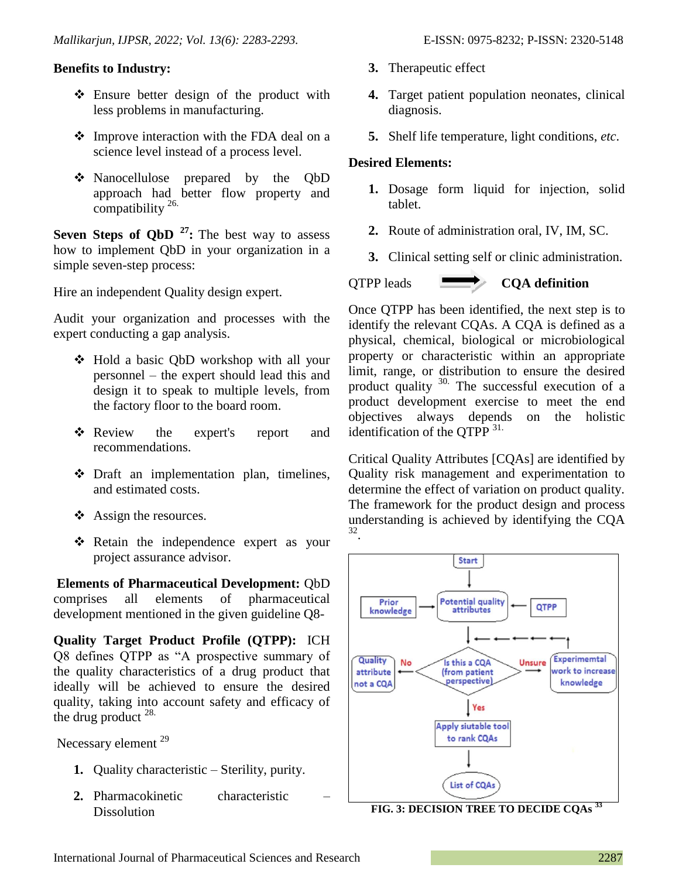### **Benefits to Industry:**

- Ensure better design of the product with less problems in manufacturing.
- **❖** Improve interaction with the FDA deal on a science level instead of a process level.
- Nanocellulose prepared by the QbD approach had better flow property and compatibility 26.

**Seven Steps of QbD** <sup>27</sup>**:** The best way to assess how to implement QbD in your organization in a simple seven-step process:

Hire an independent Quality design expert.

Audit your organization and processes with the expert conducting a gap analysis.

- Hold a basic QbD workshop with all your personnel – the expert should lead this and design it to speak to multiple levels, from the factory floor to the board room.
- \* Review the expert's report and recommendations.
- Draft an implementation plan, timelines, and estimated costs.
- ❖ Assign the resources.
- **❖** Retain the independence expert as your project assurance advisor.

**Elements of Pharmaceutical Development:** QbD comprises all elements of pharmaceutical development mentioned in the given guideline Q8-

**Quality Target Product Profile (QTPP):** ICH Q8 defines QTPP as "A prospective summary of the quality characteristics of a drug product that ideally will be achieved to ensure the desired quality, taking into account safety and efficacy of the drug product  $^{28}$ .

Necessary element <sup>29</sup>

- **1.** Quality characteristic Sterility, purity.
- **2.** Pharmacokinetic characteristic **Dissolution**
- **3.** Therapeutic effect
- **4.** Target patient population neonates, clinical diagnosis.
- **5.** Shelf life temperature, light conditions, *etc*.

### **Desired Elements:**

- **1.** Dosage form liquid for injection, solid tablet.
- **2.** Route of administration oral, IV, IM, SC.
- **3.** Clinical setting self or clinic administration.

# QTPP leads **CQA definition**

Once QTPP has been identified, the next step is to identify the relevant CQAs. A CQA is defined as a physical, chemical, biological or microbiological property or characteristic within an appropriate limit, range, or distribution to ensure the desired product quality 30. The successful execution of a product development exercise to meet the end objectives always depends on the holistic identification of the OTPP  $31$ .

Critical Quality Attributes [CQAs] are identified by Quality risk management and experimentation to determine the effect of variation on product quality. The framework for the product design and process understanding is achieved by identifying the CQA 32 .



**FIG. 3: DECISION TREE TO DECIDE CQAs <sup>33</sup>**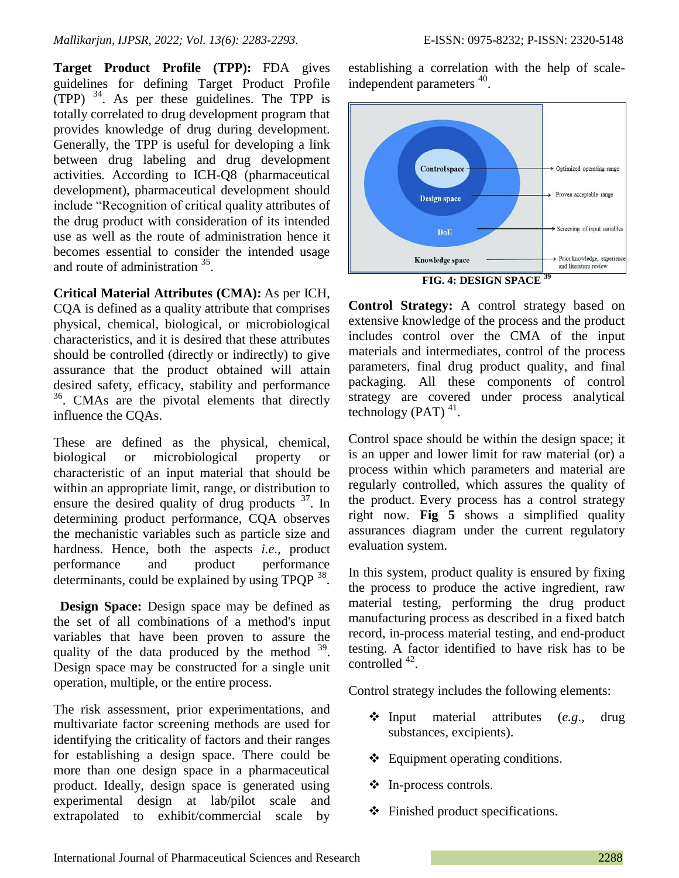**Target Product Profile (TPP):** FDA gives guidelines for defining Target Product Profile  $(TPP)$ <sup>34</sup>. As per these guidelines. The TPP is totally correlated to drug development program that provides knowledge of drug during development. Generally, the TPP is useful for developing a link between drug labeling and drug development activities. According to ICH-Q8 (pharmaceutical development), pharmaceutical development should include "Recognition of critical quality attributes of the drug product with consideration of its intended use as well as the route of administration hence it becomes essential to consider the intended usage and route of administration <sup>35</sup>.

**Critical Material Attributes (CMA):** As per ICH, CQA is defined as a quality attribute that comprises physical, chemical, biological, or microbiological characteristics, and it is desired that these attributes should be controlled (directly or indirectly) to give assurance that the product obtained will attain desired safety, efficacy, stability and performance 36 . CMAs are the pivotal elements that directly influence the CQAs.

These are defined as the physical, chemical, biological or microbiological property or characteristic of an input material that should be within an appropriate limit, range, or distribution to ensure the desired quality of drug products  $37$ . In determining product performance, CQA observes the mechanistic variables such as particle size and hardness. Hence, both the aspects *i.e.,* product performance and product performance determinants, could be explained by using TPQP <sup>38</sup>.

 **Design Space:** Design space may be defined as the set of all combinations of a method's input variables that have been proven to assure the quality of the data produced by the method  $39$ . Design space may be constructed for a single unit operation, multiple, or the entire process.

The risk assessment, prior experimentations, and multivariate factor screening methods are used for identifying the criticality of factors and their ranges for establishing a design space. There could be more than one design space in a pharmaceutical product. Ideally, design space is generated using experimental design at lab/pilot scale and extrapolated to exhibit/commercial scale by establishing a correlation with the help of scaleindependent parameters<sup>40</sup>.



**FIG. 4: DESIGN SPACE <sup>39</sup>**

**Control Strategy:** A control strategy based on extensive knowledge of the process and the product includes control over the CMA of the input materials and intermediates, control of the process parameters, final drug product quality, and final packaging. All these components of control strategy are covered under process analytical technology (PAT) $^{41}$ .

Control space should be within the design space; it is an upper and lower limit for raw material (or) a process within which parameters and material are regularly controlled, which assures the quality of the product. Every process has a control strategy right now. **Fig 5** shows a simplified quality assurances diagram under the current regulatory evaluation system.

In this system, product quality is ensured by fixing the process to produce the active ingredient, raw material testing, performing the drug product manufacturing process as described in a fixed batch record, in-process material testing, and end-product testing. A factor identified to have risk has to be controlled  $42$ .

Control strategy includes the following elements:

- Input material attributes (*e.g*., drug substances, excipients).
- ❖ Equipment operating conditions.
- ❖ In-process controls.
- Finished product specifications.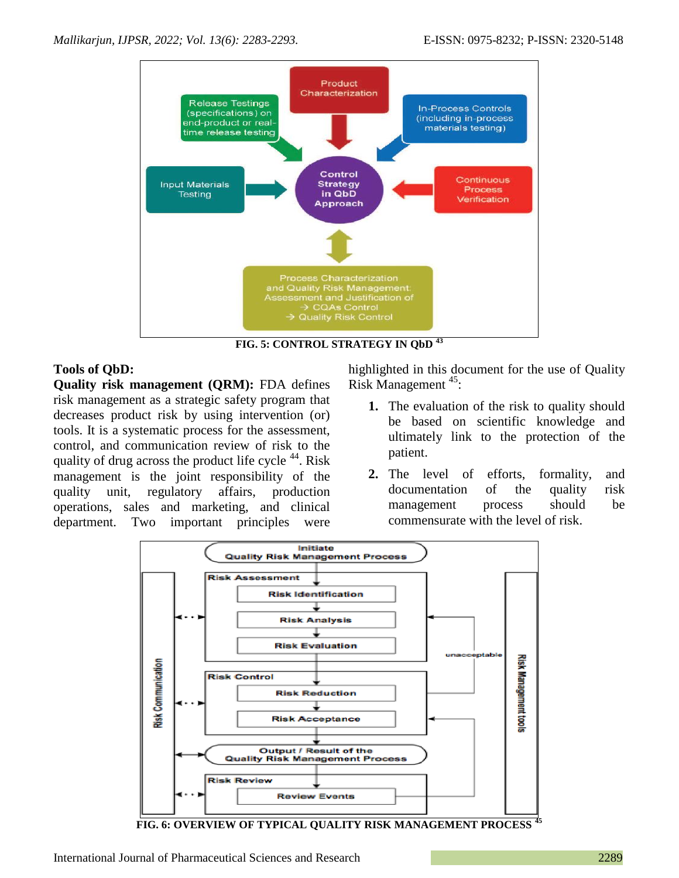

**FIG. 5: CONTROL STRATEGY IN QbD <sup>43</sup>**

# **Tools of QbD:**

**Quality risk management (QRM):** FDA defines risk management as a strategic safety program that decreases product risk by using intervention (or) tools. It is a systematic process for the assessment, control, and communication review of risk to the quality of drug across the product life cycle  $^{44}$ . Risk management is the joint responsibility of the quality unit, regulatory affairs, production operations, sales and marketing, and clinical department. Two important principles were

highlighted in this document for the use of Quality Risk Management<sup>45</sup>:

- **1.** The evaluation of the risk to quality should be based on scientific knowledge and ultimately link to the protection of the patient.
- **2.** The level of efforts, formality, and documentation of the quality risk management process should be commensurate with the level of risk.



**FIG. 6: OVERVIEW OF TYPICAL QUALITY RISK MANAGEMENT PROCESS <sup>45</sup>**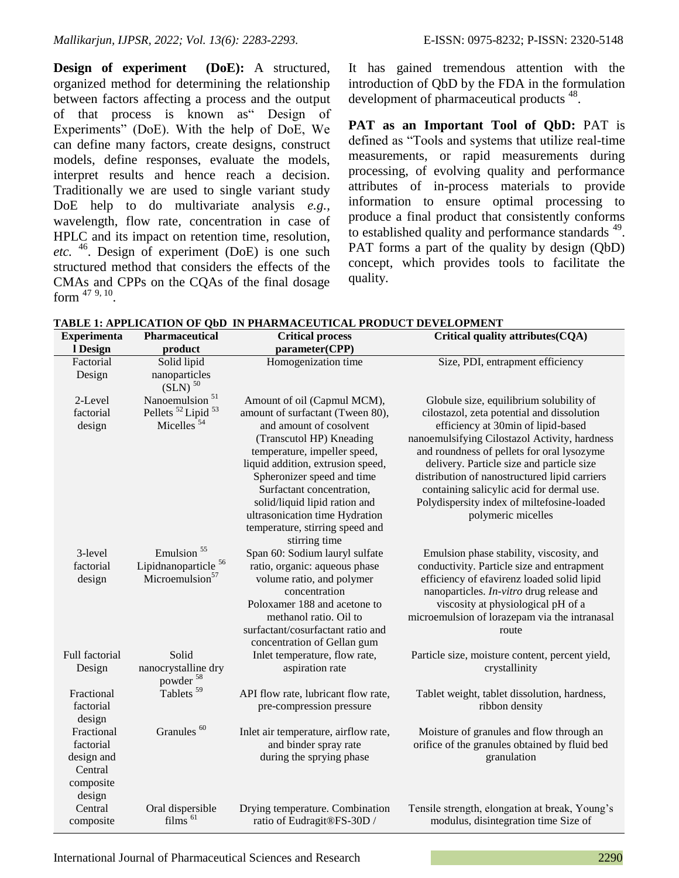**Design of experiment (DoE):** A structured, organized method for determining the relationship between factors affecting a process and the output of that process is known as" Design of Experiments" (DoE). With the help of DoE, We can define many factors, create designs, construct models, define responses, evaluate the models, interpret results and hence reach a decision. Traditionally we are used to single variant study DoE help to do multivariate analysis *e.g.,* wavelength, flow rate, concentration in case of HPLC and its impact on retention time, resolution, *etc.* <sup>46</sup>. Design of experiment (DoE) is one such structured method that considers the effects of the CMAs and CPPs on the CQAs of the final dosage form  $47, 9, 10$  $47, 9, 10$  $47, 9, 10$ .

It has gained tremendous attention with the introduction of QbD by the FDA in the formulation development of pharmaceutical products<sup>48</sup>.

**PAT as an Important Tool of QbD:** PAT is defined as "Tools and systems that utilize real-time measurements, or rapid measurements during processing, of evolving quality and performance attributes of in-process materials to provide information to ensure optimal processing to produce a final product that consistently conforms to established quality and performance standards <sup>49</sup>. PAT forms a part of the quality by design (QbD) concept, which provides tools to facilitate the quality.

| <b>Experimenta</b> | Pharmaceutical                                        | <b>Critical process</b>                    | Critical quality attributes(CQA)                                                              |
|--------------------|-------------------------------------------------------|--------------------------------------------|-----------------------------------------------------------------------------------------------|
| l Design           | product                                               | parameter(CPP)                             |                                                                                               |
| Factorial          | Solid lipid                                           | Homogenization time                        | Size, PDI, entrapment efficiency                                                              |
| Design             | nanoparticles                                         |                                            |                                                                                               |
|                    | $(SLN)$ <sup>50</sup>                                 |                                            |                                                                                               |
| 2-Level            | Nanoemulsion <sup>51</sup>                            | Amount of oil (Capmul MCM),                | Globule size, equilibrium solubility of                                                       |
| factorial          | Pellets <sup>52</sup> Lipid <sup>53</sup>             | amount of surfactant (Tween 80),           | cilostazol, zeta potential and dissolution                                                    |
| design             | Micelles <sup>54</sup>                                | and amount of cosolvent                    | efficiency at 30min of lipid-based                                                            |
|                    |                                                       | (Transcutol HP) Kneading                   | nanoemulsifying Cilostazol Activity, hardness                                                 |
|                    |                                                       | temperature, impeller speed,               | and roundness of pellets for oral lysozyme                                                    |
|                    |                                                       | liquid addition, extrusion speed,          | delivery. Particle size and particle size                                                     |
|                    |                                                       | Spheronizer speed and time                 | distribution of nanostructured lipid carriers                                                 |
|                    |                                                       | Surfactant concentration,                  | containing salicylic acid for dermal use.                                                     |
|                    |                                                       | solid/liquid lipid ration and              | Polydispersity index of miltefosine-loaded                                                    |
|                    |                                                       | ultrasonication time Hydration             | polymeric micelles                                                                            |
|                    |                                                       | temperature, stirring speed and            |                                                                                               |
|                    | Emulsion <sup>55</sup>                                | stirring time                              |                                                                                               |
| 3-level            |                                                       | Span 60: Sodium lauryl sulfate             | Emulsion phase stability, viscosity, and                                                      |
| factorial          | Lipidnanoparticle <sup>56</sup><br>Microemulsion $57$ | ratio, organic: aqueous phase              | conductivity. Particle size and entrapment                                                    |
| design             |                                                       | volume ratio, and polymer<br>concentration | efficiency of efavirenz loaded solid lipid<br>nanoparticles. <i>In-vitro</i> drug release and |
|                    |                                                       | Poloxamer 188 and acetone to               | viscosity at physiological pH of a                                                            |
|                    |                                                       | methanol ratio. Oil to                     | microemulsion of lorazepam via the intranasal                                                 |
|                    |                                                       | surfactant/cosurfactant ratio and          | route                                                                                         |
|                    |                                                       | concentration of Gellan gum                |                                                                                               |
| Full factorial     | Solid                                                 | Inlet temperature, flow rate,              | Particle size, moisture content, percent yield,                                               |
| Design             | nanocrystalline dry                                   | aspiration rate                            | crystallinity                                                                                 |
|                    | powder <sup>58</sup>                                  |                                            |                                                                                               |
| Fractional         | Tablets <sup>59</sup>                                 | API flow rate, lubricant flow rate,        | Tablet weight, tablet dissolution, hardness,                                                  |
| factorial          |                                                       | pre-compression pressure                   | ribbon density                                                                                |
| design             |                                                       |                                            |                                                                                               |
| Fractional         | Granules <sup>60</sup>                                | Inlet air temperature, airflow rate,       | Moisture of granules and flow through an                                                      |
| factorial          |                                                       | and binder spray rate                      | orifice of the granules obtained by fluid bed                                                 |
| design and         |                                                       | during the sprying phase                   | granulation                                                                                   |
| Central            |                                                       |                                            |                                                                                               |
| composite          |                                                       |                                            |                                                                                               |
| design             |                                                       |                                            |                                                                                               |
| Central            | Oral dispersible                                      | Drying temperature. Combination            | Tensile strength, elongation at break, Young's                                                |
| composite          | films <sup>61</sup>                                   | ratio of Eudragit®FS-30D /                 | modulus, disintegration time Size of                                                          |

**TABLE 1: APPLICATION OF QbD IN PHARMACEUTICAL PRODUCT DEVELOPMENT**

International Journal of Pharmaceutical Sciences and Research 2290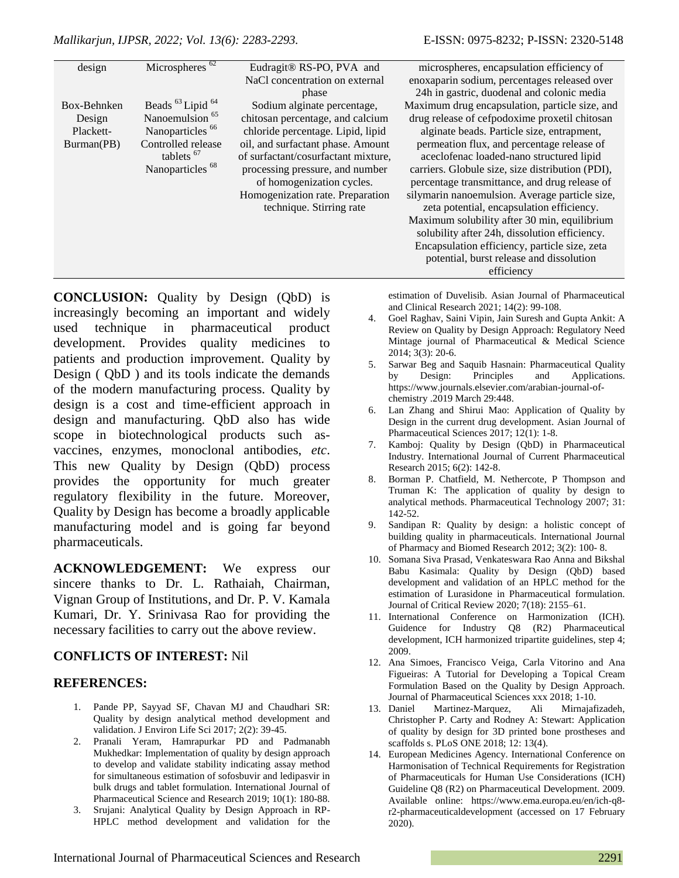| design      | Microspheres <sup>62</sup>              | Eudragit® RS-PO, PVA and            | microspheres, encapsulation efficiency of        |
|-------------|-----------------------------------------|-------------------------------------|--------------------------------------------------|
|             |                                         | NaCl concentration on external      | enoxaparin sodium, percentages released over     |
|             |                                         | phase                               | 24h in gastric, duodenal and colonic media       |
| Box-Behnken | Beads <sup>63</sup> Lipid <sup>64</sup> | Sodium alginate percentage,         | Maximum drug encapsulation, particle size, and   |
| Design      | Nanoemulsion <sup>65</sup>              | chitosan percentage, and calcium    | drug release of cefpodoxime proxetil chitosan    |
| Plackett-   | Nanoparticles <sup>66</sup>             | chloride percentage. Lipid, lipid   | alginate beads. Particle size, entrapment,       |
| Burman(PB)  | Controlled release                      | oil, and surfactant phase. Amount   | permeation flux, and percentage release of       |
|             | tablets <sup>67</sup>                   | of surfactant/cosurfactant mixture, | aceclofenac loaded-nano structured lipid         |
|             | Nanoparticles <sup>68</sup>             | processing pressure, and number     | carriers. Globule size, size distribution (PDI), |
|             |                                         | of homogenization cycles.           | percentage transmittance, and drug release of    |
|             |                                         | Homogenization rate. Preparation    | silymarin nanoemulsion. Average particle size,   |
|             |                                         | technique. Stirring rate            | zeta potential, encapsulation efficiency.        |
|             |                                         |                                     | Maximum solubility after 30 min, equilibrium     |
|             |                                         |                                     | solubility after 24h, dissolution efficiency.    |
|             |                                         |                                     | Encapsulation efficiency, particle size, zeta    |
|             |                                         |                                     | potential, burst release and dissolution         |
|             |                                         |                                     | efficiency                                       |

**CONCLUSION:** Quality by Design (QbD) is increasingly becoming an important and widely used technique in pharmaceutical product development. Provides quality medicines to patients and production improvement. Quality by Design ( QbD ) and its tools indicate the demands of the modern manufacturing process. Quality by design is a cost and time-efficient approach in design and manufacturing. QbD also has wide scope in biotechnological products such asvaccines, enzymes, monoclonal antibodies, *etc*. This new Quality by Design (QbD) process provides the opportunity for much greater regulatory flexibility in the future. Moreover, Quality by Design has become a broadly applicable manufacturing model and is going far beyond pharmaceuticals.

**ACKNOWLEDGEMENT:** We express our sincere thanks to Dr. L. Rathaiah, Chairman, Vignan Group of Institutions, and Dr. P. V. Kamala Kumari, Dr. Y. Srinivasa Rao for providing the necessary facilities to carry out the above review.

### **CONFLICTS OF INTEREST:** Nil

### **REFERENCES:**

- 1. Pande PP, Sayyad SF, Chavan MJ and Chaudhari SR: Quality by design analytical method development and validation. J Environ Life Sci 2017; 2(2): 39-45.
- 2. Pranali Yeram, Hamrapurkar PD and Padmanabh Mukhedkar: Implementation of quality by design approach to develop and validate stability indicating assay method for simultaneous estimation of sofosbuvir and ledipasvir in bulk drugs and tablet formulation. International Journal of Pharmaceutical Science and Research 2019; 10(1): 180-88.
- 3. Srujani: Analytical Quality by Design Approach in RP-HPLC method development and validation for the

estimation of Duvelisib. Asian Journal of Pharmaceutical and Clinical Research 2021; 14(2): 99-108.

- 4. Goel Raghav, Saini Vipin, Jain Suresh and Gupta Ankit: A Review on Quality by Design Approach: Regulatory Need Mintage journal of Pharmaceutical & Medical Science 2014; 3(3): 20-6.
- 5. Sarwar Beg and Saquib Hasnain: Pharmaceutical Quality by Design: Principles and Applications. https://www.journals.elsevier.com/arabian-journal-ofchemistry .2019 March 29:448.
- 6. Lan Zhang and Shirui Mao: Application of Quality by Design in the current drug development. Asian Journal of Pharmaceutical Sciences 2017; 12(1): 1-8.
- 7. Kamboj: Quality by Design (QbD) in Pharmaceutical Industry. International Journal of Current Pharmaceutical Research 2015; 6(2): 142-8.
- 8. Borman P. Chatfield, M. Nethercote, P Thompson and Truman K: The application of quality by design to analytical methods. Pharmaceutical Technology 2007; 31: 142-52.
- 9. Sandipan R: Quality by design: a holistic concept of building quality in pharmaceuticals. International Journal of Pharmacy and Biomed Research 2012; 3(2): 100- 8.
- 10. Somana Siva Prasad, Venkateswara Rao Anna and Bikshal Babu Kasimala: Quality by Design (QbD) based development and validation of an HPLC method for the estimation of Lurasidone in Pharmaceutical formulation. Journal of Critical Review 2020; 7(18): 2155–61.
- 11. International Conference on Harmonization (ICH). Guidence for Industry Q8 (R2) Pharmaceutical development, ICH harmonized tripartite guidelines, step 4; 2009.
- 12. Ana Simoes, Francisco Veiga, Carla Vitorino and Ana Figueiras: A Tutorial for Developing a Topical Cream Formulation Based on the Quality by Design Approach. Journal of Pharmaceutical Sciences xxx 2018; 1-10.
- 13. Daniel Martinez-Marquez, Ali Mirnajafizadeh, Christopher P. Carty and Rodney A: Stewart: Application of quality by design for 3D printed bone prostheses and scaffolds s. PLoS ONE 2018; 12: 13(4).
- 14. European Medicines Agency. International Conference on Harmonisation of Technical Requirements for Registration of Pharmaceuticals for Human Use Considerations (ICH) Guideline Q8 (R2) on Pharmaceutical Development. 2009. Available online: https://www.ema.europa.eu/en/ich-q8 r2-pharmaceuticaldevelopment (accessed on 17 February 2020).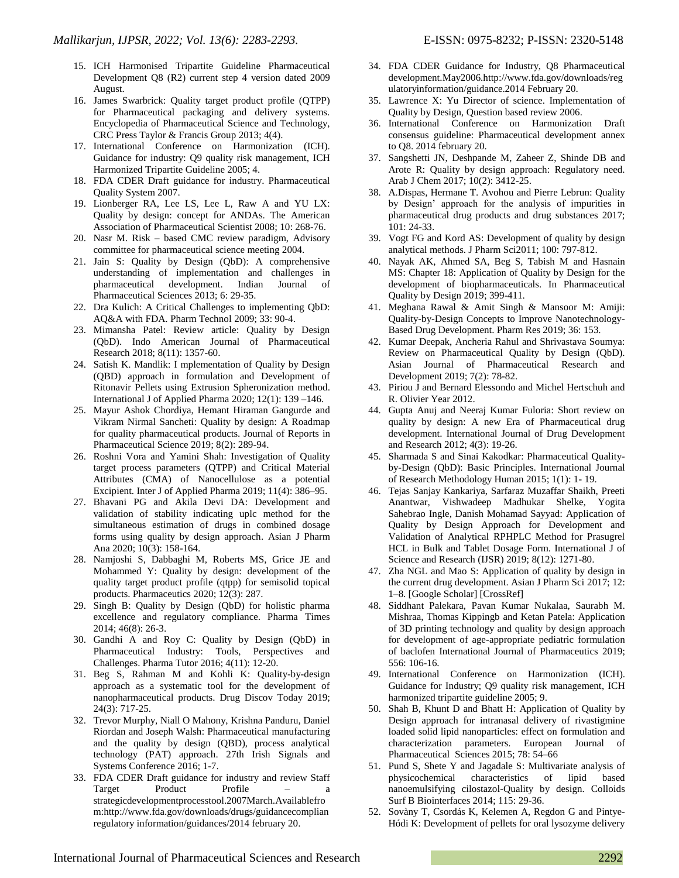- 15. ICH Harmonised Tripartite Guideline Pharmaceutical Development Q8 (R2) current step 4 version dated 2009 August.
- 16. James Swarbrick: Quality target product profile (QTPP) for Pharmaceutical packaging and delivery systems. Encyclopedia of Pharmaceutical Science and Technology, CRC Press Taylor & Francis Group 2013; 4(4).
- 17. International Conference on Harmonization (ICH). Guidance for industry: Q9 quality risk management, ICH Harmonized Tripartite Guideline 2005; 4.
- 18. FDA CDER Draft guidance for industry. Pharmaceutical Quality System 2007.
- 19. Lionberger RA, Lee LS, Lee L, Raw A and YU LX: Quality by design: concept for ANDAs. The American Association of Pharmaceutical Scientist 2008; 10: 268-76.
- 20. Nasr M. Risk based CMC review paradigm, Advisory committee for pharmaceutical science meeting 2004.
- 21. Jain S: Quality by Design (QbD): A comprehensive understanding of implementation and challenges in pharmaceutical development. Indian Journal of Pharmaceutical Sciences 2013; 6: 29-35.
- 22. Dra Kulich: A Critical Challenges to implementing QbD: AQ&A with FDA. Pharm Technol 2009; 33: 90-4.
- 23. Mimansha Patel: Review article: Quality by Design (QbD). Indo American Journal of Pharmaceutical Research 2018; 8(11): 1357-60.
- 24. Satish K. Mandlik: I mplementation of Quality by Design (QBD) approach in formulation and Development of Ritonavir Pellets using Extrusion Spheronization method. International J of Applied Pharma 2020; 12(1): 139 –146.
- 25. Mayur Ashok Chordiya, Hemant Hiraman Gangurde and Vikram Nirmal Sancheti: Quality by design: A Roadmap for quality pharmaceutical products. Journal of Reports in Pharmaceutical Science 2019; 8(2): 289-94.
- 26. Roshni Vora and Yamini Shah: Investigation of Quality target process parameters (QTPP) and Critical Material Attributes (CMA) of Nanocellulose as a potential Excipient. Inter J of Applied Pharma 2019; 11(4): 386–95.
- 27. Bhavani PG and Akila Devi DA: Development and validation of stability indicating uplc method for the simultaneous estimation of drugs in combined dosage forms using quality by design approach. Asian J Pharm Ana 2020; 10(3): 158-164.
- 28. Namjoshi S, Dabbaghi M, Roberts MS, Grice JE and Mohammed Y: Quality by design: development of the quality target product profile (qtpp) for semisolid topical products. Pharmaceutics 2020; 12(3): 287.
- 29. Singh B: Quality by Design (QbD) for holistic pharma excellence and regulatory compliance. Pharma Times 2014; 46(8): 26-3.
- 30. Gandhi A and Roy C: Quality by Design (QbD) in Pharmaceutical Industry: Tools, Perspectives and Challenges. Pharma Tutor 2016; 4(11): 12-20.
- 31. Beg S, Rahman M and Kohli K: Quality-by-design approach as a systematic tool for the development of nanopharmaceutical products. Drug Discov Today 2019; 24(3): 717-25.
- 32. Trevor Murphy, Niall O Mahony, Krishna Panduru, Daniel Riordan and Joseph Walsh: Pharmaceutical manufacturing and the quality by design (QBD), process analytical technology (PAT) approach. 27th Irish Signals and Systems Conference 2016; 1-7.
- 33. FDA CDER Draft guidance for industry and review Staff Target Product Profile strategicdevelopmentprocesstool.2007March.Availablefro m:http://www.fda.gov/downloads/drugs/guidancecomplian regulatory information/guidances/2014 february 20.
- 34. FDA CDER Guidance for Industry, Q8 Pharmaceutical development.May2006.http://www.fda.gov/downloads/reg ulatoryinformation/guidance.2014 February 20.
- 35. Lawrence X: Yu Director of science. Implementation of Quality by Design, Question based review 2006.
- 36. International Conference on Harmonization Draft consensus guideline: Pharmaceutical development annex to Q8. 2014 february 20.
- 37. Sangshetti JN, Deshpande M, Zaheer Z, Shinde DB and Arote R: Quality by design approach: Regulatory need. Arab J Chem 2017; 10(2): 3412-25.
- 38. A.Dispas, Hermane T. Avohou and Pierre Lebrun: Quality by Design' approach for the analysis of impurities in pharmaceutical drug products and drug substances 2017; 101: 24-33.
- 39. Vogt FG and Kord AS: Development of quality by design analytical methods. J Pharm Sci2011; 100: 797-812.
- 40. Nayak AK, Ahmed SA, Beg S, Tabish M and Hasnain MS: Chapter 18: Application of Quality by Design for the development of biopharmaceuticals. In Pharmaceutical Quality by Design 2019; 399-411.
- 41. Meghana Rawal & Amit Singh & Mansoor M: Amiji: Quality-by-Design Concepts to Improve Nanotechnology-Based Drug Development. Pharm Res 2019; 36: 153.
- 42. Kumar Deepak, Ancheria Rahul and Shrivastava Soumya: Review on Pharmaceutical Quality by Design (QbD). Asian Journal of Pharmaceutical Research and Development 2019; 7(2): 78-82.
- 43. Piriou J and Bernard Elessondo and Michel Hertschuh and R. Olivier Year 2012.
- 44. Gupta Anuj and Neeraj Kumar Fuloria: Short review on quality by design: A new Era of Pharmaceutical drug development. International Journal of Drug Development and Research 2012; 4(3): 19-26.
- 45. Sharmada S and Sinai Kakodkar: Pharmaceutical Qualityby-Design (QbD): Basic Principles. International Journal of Research Methodology Human 2015; 1(1): 1- 19.
- 46. Tejas Sanjay Kankariya, Sarfaraz Muzaffar Shaikh, Preeti Anantwar, Vishwadeep Madhukar Shelke, Yogita Sahebrao Ingle, Danish Mohamad Sayyad: Application of Quality by Design Approach for Development and Validation of Analytical RPHPLC Method for Prasugrel HCL in Bulk and Tablet Dosage Form. International J of Science and Research (IJSR) 2019; 8(12): 1271-80.
- 47. Zha NGL and Mao S: Application of quality by design in the current drug development. Asian J Pharm Sci 2017; 12: 1–8. [Google Scholar] [CrossRef]
- 48. Siddhant Palekara, Pavan Kumar Nukalaa, Saurabh M. Mishraa, Thomas Kippingb and Ketan Patela: Application of 3D printing technology and quality by design approach for development of age-appropriate pediatric formulation of baclofen International Journal of Pharmaceutics 2019; 556: 106-16.
- 49. International Conference on Harmonization (ICH). Guidance for Industry; Q9 quality risk management, ICH harmonized tripartite guideline 2005; 9.
- 50. Shah B, Khunt D and Bhatt H: Application of Quality by Design approach for intranasal delivery of rivastigmine loaded solid lipid nanoparticles: effect on formulation and characterization parameters. European Journal of Pharmaceutical Sciences 2015; 78: 54–66
- 51. Pund S, Shete Y and Jagadale S: Multivariate analysis of physicochemical characteristics of lipid based nanoemulsifying cilostazol-Quality by design. Colloids Surf B Biointerfaces 2014; 115: 29-36.
- 52. Sovàny T, Csordás K, Kelemen A, Regdon G and Pintye-Hódi K: Development of pellets for oral lysozyme delivery